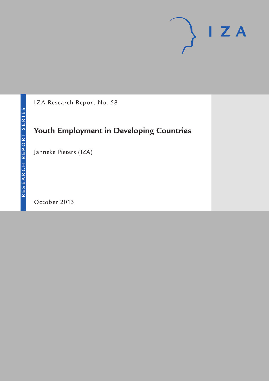

IZA Research Report No. 58

## **Youth Employment in Developing Countries**

Janneke Pieters (IZA)

October 2013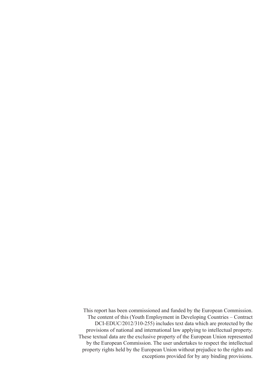This report has been commissioned and funded by the European Commission. The content of this (Youth Employment in Developing Countries – Contract DCI-EDUC/2012/310-255) includes text data which are protected by the provisions of national and international law applying to intellectual property. These textual data are the exclusive property of the European Union represented by the European Commission. The user undertakes to respect the intellectual property rights held by the European Union without prejudice to the rights and exceptions provided for by any binding provisions.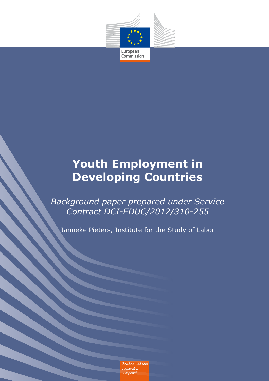

# **Youth Employment in Developing Countries**

*Background paper prepared under Service Contract DCI-EDUC/2012/310-255*

Janneke Pieters, Institute for the Study of Labor

Development and Cooperation -EuropeAid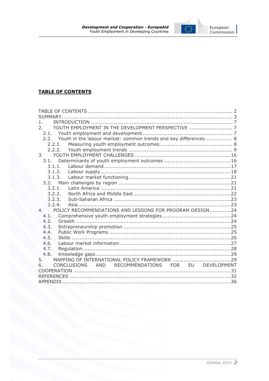

## <span id="page-3-0"></span>**TABLE OF CONTENTS**

| 1.                                                                   |
|----------------------------------------------------------------------|
| 2.                                                                   |
|                                                                      |
| 2.2. Youth in the labour market: common trends and key differences 8 |
| $2, 2, 1$ .                                                          |
|                                                                      |
|                                                                      |
| 3.1.                                                                 |
|                                                                      |
|                                                                      |
|                                                                      |
|                                                                      |
| 3.2.1.                                                               |
| 3.2.2.                                                               |
| 3.2.3.                                                               |
| 3.2.4.                                                               |
| POLICY RECOMMENDATIONS AND LESSONS FOR PROGRAM DESIGN24<br>4.        |
| 4.1.                                                                 |
| 4.2.                                                                 |
| 4.3.                                                                 |
| 4.4.                                                                 |
| 4.5.                                                                 |
| 4.6.                                                                 |
| 4.7.                                                                 |
| 4.8.                                                                 |
| 5.                                                                   |
| CONCLUSIONS AND RECOMMENDATIONS FOR EU DEVELOPMENT<br>6.             |
|                                                                      |
|                                                                      |
|                                                                      |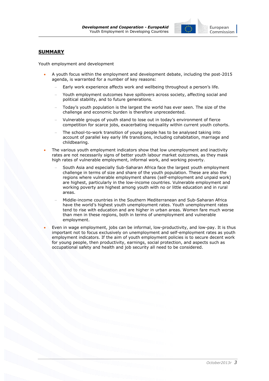

#### <span id="page-4-0"></span>**SUMMARY**

Youth employment and development

- A youth focus within the employment and development debate, including the post-2015 agenda, is warranted for a number of key reasons:
	- Early work experience affects work and wellbeing throughout a person"s life.
	- Youth employment outcomes have spillovers across society, affecting social and political stability, and to future generations.
	- Today"s youth population is the largest the world has ever seen. The size of the challenge and economic burden is therefore unprecedented.
	- Vulnerable groups of youth stand to lose out in today"s environment of fierce competition for scarce jobs, exacerbating inequality within current youth cohorts.
	- The school-to-work transition of young people has to be analysed taking into account of parallel key early life transitions, including cohabitation, marriage and childbearing.
- The various youth employment indicators show that low unemployment and inactivity rates are not necessarily signs of better youth labour market outcomes, as they mask high rates of vulnerable employment, informal work, and working poverty.
	- South Asia and especially Sub-Saharan Africa face the largest youth employment challenge in terms of size and share of the youth population. These are also the regions where vulnerable employment shares (self-employment and unpaid work) are highest, particularly in the low-income countries. Vulnerable employment and working poverty are highest among youth with no or little education and in rural areas.
	- Middle-income countries in the Southern Mediterranean and Sub-Saharan Africa have the world's highest youth unemployment rates. Youth unemployment rates tend to rise with education and are higher in urban areas. Women fare much worse than men in these regions, both in terms of unemployment and vulnerable employment.
- Even in wage employment, jobs can be informal, low-productivity, and low-pay. It is thus important not to focus exclusively on unemployment and self-employment rates as youth employment indicators. If the aim of youth employment policies is to secure decent work for young people, then productivity, earnings, social protection, and aspects such as occupational safety and health and job security all need to be considered.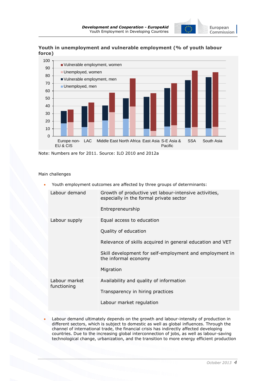

## **Youth in unemployment and vulnerable employment (% of youth labour force)**



Note: Numbers are for 2011. Source: ILO 2010 and 2012a

#### Main challenges

Youth employment outcomes are affected by three groups of determinants:

| Labour demand                | Growth of productive yet labour-intensive activities,<br>especially in the formal private sector<br>Entrepreneurship                                                                                           |
|------------------------------|----------------------------------------------------------------------------------------------------------------------------------------------------------------------------------------------------------------|
| Labour supply                | Equal access to education<br>Quality of education<br>Relevance of skills acquired in general education and VET<br>Skill development for self-employment and employment in<br>the informal economy<br>Migration |
| Labour market<br>functioning | Availability and quality of information<br>Transparency in hiring practices<br>Labour market regulation                                                                                                        |

 Labour demand ultimately depends on the growth and labour-intensity of production in different sectors, which is subject to domestic as well as global influences. Through the channel of international trade, the financial crisis has indirectly affected developing countries. Due to the increasing global interconnection of jobs, as well as labour-saving technological change, urbanization, and the transition to more energy efficient production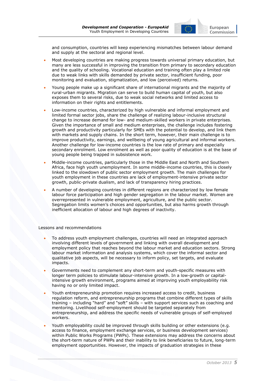

and consumption, countries will keep experiencing mismatches between labour demand and supply at the sectoral and regional level.

- Most developing countries are making progress towards universal primary education, but many are less successful in improving the transition from primary to secondary education and the quality of schooling. Vocational education and training often play a limited role due to weak links with skills demanded by private sector, insufficient funding, poor monitoring and evaluation, stigmatization, and low (perceived) returns.
- Young people make up a significant share of international migrants and the majority of rural-urban migrants. Migration can serve to build human capital of youth, but also exposes them to several risks, due to weak social networks and limited access to information on their rights and entitlements.
- Low-income countries, characterized by high vulnerable and informal employment and limited formal sector jobs, share the challenge of realizing labour-inclusive structural change to increase demand for low- and medium-skilled workers in private enterprises. Given the importance of small and medium enterprises, the challenge includes fostering growth and productivity particularly for SMEs with the potential to develop, and link them with markets and supply chains. In the short term, however, their main challenge is to improve productivity, earnings, and wellbeing of young agricultural and informal workers. Another challenge for low-income countries is the low rate of primary and especially secondary enrolment. Low enrolment as well as poor quality of education is at the base of young people being trapped in subsistence work.
- Middle-income countries, particularly those in the Middle East and North and Southern Africa, face high youth unemployment. In some middle-income countries, this is closely linked to the slowdown of public sector employment growth. The main challenges for youth employment in these countries are lack of employment-intensive private sector growth, public-private dualism, and lack of transparency hiring practices.
- A number of developing countries in different regions are characterized by low female labour force participation and high gender segregation in the labour market. Women are overrepresented in vulnerable employment, agriculture, and the public sector. Segregation limits women"s choices and opportunities, but also harms growth through inefficient allocation of labour and high degrees of inactivity.

#### Lessons and recommendations

- To address youth employment challenges, countries will need an integrated approach involving different levels of government and linking with overall development and employment policy that reaches beyond the labour market and education sectors. Strong labour market information and analysis systems, which cover the informal sector and qualitative job aspects, will be necessary to inform policy, set targets, and evaluate impacts.
- Governments need to complement any short-term and youth-specific measures with longer term policies to stimulate labour-intensive growth. In a low-growth or capitalintensive growth environment, programs aimed at improving youth employability risk having no or only limited impact.
- Youth entrepreneurship promotion requires increased access to credit, business regulation reform, and entrepreneurship programs that combine different types of skills training – including "hard" and "soft" skills – with support services such as coaching and mentoring. Livelihood self-employment should be targeted separately from entrepreneurship, and address the specific needs of vulnerable groups of self-employed workers.
- Youth employability could be improyed through skills building or other extensions (e.g. access to finance, employment exchange services, or business development services) within Public Works Programs (PWPs). These extensions may address the concerns about the short-term nature of PWPs and their inability to link beneficiaries to future, long-term employment opportunities. However, the impacts of graduation strategies in these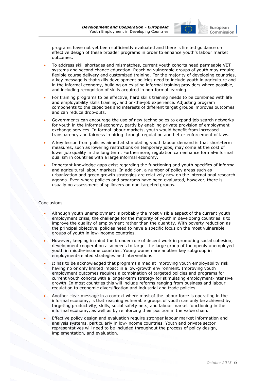

programs have not yet been sufficiently evaluated and there is limited guidance on effective design of these broader programs in order to enhance youth's labour market outcomes.

- To address skill shortages and mismatches, current youth cohorts need permeable VET systems and second chance education. Reaching vulnerable groups of youth may require flexible course delivery and customized training. For the majority of developing countries, a key message is that skills development policies need to include youth in agriculture and in the informal economy, building on existing informal training providers where possible, and including recognition of skills acquired in non-formal learning.
- For training programs to be effective, hard skills training needs to be combined with life and employability skills training, and on-the-job experience. Adjusting program components to the capacities and interests of different target groups improves outcomes and can reduce drop-outs.
- Governments can encourage the use of new technologies to expand job search networks for youth in the informal economy, partly by enabling private provision of employment exchange services. In formal labour markets, youth would benefit from increased transparency and fairness in hiring through regulation and better enforcement of laws.
- A key lesson from policies aimed at stimulating youth labour demand is that short-term measures, such as lowering restrictions on temporary jobs, may come at the cost of lower job quality in the long term. Furthermore, regulation can enhance formal-informal dualism in countries with a large informal economy.
- Important knowledge gaps exist regarding the functioning and youth-specifics of informal and agricultural labour markets. In addition, a number of policy areas such as urbanization and green growth strategies are relatively new on the international research agenda. Even where policies and programs have been evaluated, however, there is usually no assessment of spillovers on non-targeted groups.

#### **Conclusions**

- Although youth unemployment is probably the most visible aspect of the current youth employment crisis, the challenge for the majority of youth in developing countries is to improve the quality of employment rather than the quantity. With poverty reduction as the principal objective, policies need to have a specific focus on the most vulnerable groups of youth in low-income countries.
- However, keeping in mind the broader role of decent work in promoting social cohesion, development cooperation also needs to target the large group of the openly unemployed youth in middle-income countries. Young women are another key subgroup in employment-related strategies and interventions.
- It has to be acknowledged that programs aimed at improving youth employability risk having no or only limited impact in a low-growth environment. Improving youth employment outcomes requires a combination of targeted policies and programs for current youth cohorts with a longer-term strategy for stimulating employment-intensive growth. In most countries this will include reforms ranging from business and labour regulation to economic diversification and industrial and trade policies.
- Another clear message in a context where most of the labour force is operating in the informal economy, is that reaching vulnerable groups of youth can only be achieved by targeting productivity, skills, social safety nets, and labour market functioning in the informal economy, as well as by reinforcing their position in the value chain.
- Effective policy design and evaluation require stronger labour market information and analysis systems, particularly in low-income countries, Youth and private sector representatives will need to be included throughout the process of policy design, implementation, and evaluation.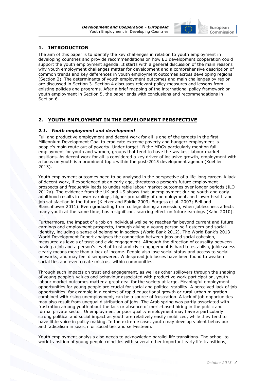

## <span id="page-8-0"></span>**1. INTRODUCTION**

The aim of this paper is to identify the key challenges in relation to youth employment in developing countries and provide recommendations on how EU development cooperation could support the youth employment agenda. It starts with a general discussion of the main reasons why youth employment challenges matter for development and a comprehensive description of common trends and key differences in youth employment outcomes across developing regions (Section 2). The determinants of youth employment outcomes and main challenges by region are discussed in Section 3. Section 4 discusses relevant policy measures and lessons from existing policies and programs. After a brief mapping of the international policy framework on youth employment in Section 5, the paper ends with conclusions and recommendations in Section 6.

## <span id="page-8-1"></span>**2. YOUTH EMPLOYMENT IN THE DEVELOPMENT PERSPECTIVE**

## <span id="page-8-2"></span>*2.1. Youth employment and development*

Full and productive employment and decent work for all is one of the targets in the first Millennium Development Goal to eradicate extreme poverty and hunger: employment is people"s main route out of poverty. Under target 1B the MDGs particularly mention full employment for youth and women, groups that tend to have the weakest labour market positions. As decent work for all is considered a key driver of inclusive growth, employment with a focus on youth is a prominent topic within the post-2015 development agenda (Koehler 2013).

Youth employment outcomes need to be analysed in the perspective of a life-long career. A lack of decent work, if experienced at an early age, threatens a person's future employment prospects and frequently leads to undesirable labour market outcomes over longer periods (ILO 2012a). The evidence from the UK and US shows that unemployment during youth and early adulthood results in lower earnings, higher probability of unemployment, and lower health and job satisfaction in the future (Kletzer and Fairlie 2003; Burgess et al. 2003; Bell and Blanchflower 2011). Even graduating from college during a recession, when joblessness affects many youth at the same time, has a significant scarring effect on future earnings (Kahn 2010).

Furthermore, the impact of a job on individual wellbeing reaches far beyond current and future earnings and employment prospects, through giving a young person self-esteem and social identity, including a sense of belonging in society (World Bank 2012). The World Bank"s 2013 World Development Report analyses the connection between jobs and social cohesion, measured as levels of trust and civic engagement. Although the direction of causality between having a job and a person's level of trust and civic engagement is hard to establish, joblessness clearly means more than a lack of income. People also lose social status and access to social networks, and may feel disempowered. Widespread job losses have been found to weaken social ties and even create mistrust within communities.

Through such impacts on trust and engagement, as well as other spillovers through the shaping of young people"s values and behaviour associated with productive work participation, youth labour market outcomes matter a great deal for the society at large. Meaningful employment opportunities for young people are crucial for social and political stability. A perceived lack of job opportunities, for example in a context of rapid educational growth or rural-urban migration combined with rising unemployment, can be a source of frustration. A lack of job opportunities may also result from unequal distribution of jobs. The Arab spring was partly associated with frustration among youth about the lack or absence of merit-based hiring in the public and formal private sector. Unemployment or poor quality employment may have a particularly strong political and social impact as youth are relatively easily mobilized, while they tend to have little voice in policy making. In the extreme case, youth may develop violent behaviour and radicalism in search for social ties and self-esteem.

Youth employment analysis also needs to acknowledge parallel life transitions. The school-towork transition of young people coincides with several other important early life transitions,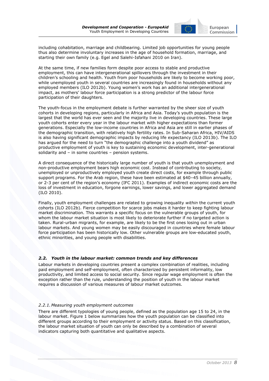

including cohabitation, marriage and childbearing. Limited job opportunities for young people thus also determine involuntary increases in the age of household formation, marriage, and starting their own family (e.g. Egel and Salehi-Isfahani 2010 on Iran).

At the same time, if new families form despite poor access to stable and productive employment, this can have intergenerational spillovers through the investment in their children"s schooling and health. Youth from poor households are likely to become working poor, while unemployed youth in several countries are increasingly found in households without any employed members (ILO 2012b). Young women"s work has an additional intergenerational impact, as mothers" labour force participation is a strong predictor of the labour force participation of their daughters.

The youth-focus in the employment debate is further warranted by the sheer size of youth cohorts in developing regions, particularly in Africa and Asia. Today"s youth population is the largest that the world has ever seen and the majority live in developing countries. These large youth cohorts enter every year in the labour market with higher expectations than former generations. Especially the low-income countries in Africa and Asia are still in earlier phases of the demographic transition, with relatively high fertility rates. In Sub-Saharan Africa, HIV/AIDS is also having significant demographic impacts by reducing life expectancy (ILO 2013b). The ILO has argued for the need to turn "the demographic challenge into a youth dividend" as productive employment of youth is key to sustaining economic development, inter-generational solidarity and – in some countries – pension systems.

A direct consequence of the historically large number of youth is that youth unemployment and non-productive employment bears high economic cost. Instead of contributing to society, unemployed or unproductively employed youth create direct costs, for example through public support programs. For the Arab region, these have been estimated at \$40-45 billion annually, or 2-3 per cent of the region"s economy (IFC 2011). Examples of indirect economic costs are the loss of investment in education, forgone earnings, lower savings, and lower aggregated demand (ILO 2010).

Finally, youth employment challenges are related to growing inequality *within* the current youth cohorts (ILO 2012b). Fierce competition for scarce jobs makes it harder to keep fighting labour market discrimination. This warrants a specific focus on the vulnerable groups of youth, for whom the labour market situation is most likely to deteriorate further if no targeted action is taken. Rural-urban migrants, for example, are likely to be the first ones losing out in urban labour markets. And young women may be easily discouraged in countries where female labour force participation has been historically low. Other vulnerable groups are low-educated youth, ethnic minorities, and young people with disabilities.

## <span id="page-9-0"></span>*2.2. Youth in the labour market: common trends and key differences*

Labour markets in developing countries present a complex combination of realities, including paid employment and self-employment, often characterized by persistent informality, low productivity, and limited access to social security. Since regular wage employment is often the exception rather than the rule, understanding the position of youth in the labour market requires a discussion of various measures of labour market outcomes.

#### <span id="page-9-1"></span>*2.2.1. Measuring youth employment outcomes*

There are different typologies of young people, defined as the population age 15 to 24, in the labour market. Figure 1 below summarizes how the youth population can be classified into different groups according to their employment or activity status. Based on this classification, the labour market situation of youth can only be described by a combination of several indicators capturing both quantitative and qualitative aspects.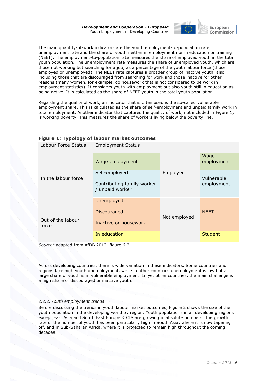

The main quantity-of-work indicators are the youth employment-to-population rate, unemployment rate and the share of youth neither in employment nor in education or training (NEET). The employment-to-population rate measures the share of employed youth in the total youth population. The unemployment rate measures the share of unemployed youth, which are those not working but searching for a job, as a percentage of the youth labour force (those employed or unemployed). The NEET rate captures a broader group of inactive youth, also including those that are discouraged from searching for work and those inactive for other reasons (many women, for example, do housework that is not considered to be work in employment statistics). It considers youth with employment but also youth still in education as being active. It is calculated as the share of NEET youth in the total youth population.

Regarding the quality of work, an indicator that is often used is the so-called vulnerable employment share. This is calculated as the share of self-employment and unpaid family work in total employment. Another indicator that captures the quality of work, not included in Figure 1, is working poverty. This measures the share of workers living below the poverty line.

| Labour Force Status        | <b>Employment Status</b>                      |              |                          |  |
|----------------------------|-----------------------------------------------|--------------|--------------------------|--|
| In the labour force        | Wage employment                               | Employed     | Wage<br>employment       |  |
|                            | Self-employed                                 |              | Vulnerable<br>employment |  |
|                            | Contributing family worker<br>/ unpaid worker |              |                          |  |
|                            | Unemployed                                    |              |                          |  |
| Out of the labour<br>force | <b>Discouraged</b>                            | Not employed | <b>NEET</b>              |  |
|                            | Inactive or housework                         |              |                          |  |
|                            | In education                                  |              | <b>Student</b>           |  |

## **Figure 1: Typology of labour market outcomes**

*Source*: adapted from AfDB 2012, figure 6.2.

Across developing countries, there is wide variation in these indicators. Some countries and regions face high youth unemployment, while in other countries unemployment is low but a large share of youth is in vulnerable employment. In yet other countries, the main challenge is a high share of discouraged or inactive youth.

#### <span id="page-10-0"></span>*2.2.2.Youth employment trends*

Before discussing the trends in youth labour market outcomes, Figure 2 shows the size of the youth population in the developing world by region. Youth populations in all developing regions except East Asia and South East Europe & CIS are growing in absolute numbers. The growth rate of the number of youth has been particularly high in South Asia, where it is now tapering off, and in Sub-Saharan Africa, where it is projected to remain high throughout the coming decades.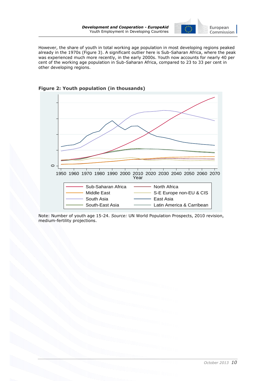

However, the share of youth in total working age population in most developing regions peaked already in the 1970s (Figure 3). A significant outlier here is Sub-Saharan Africa, where the peak was experienced much more recently, in the early 2000s. Youth now accounts for nearly 40 per cent of the working age population in Sub-Saharan Africa, compared to 23 to 33 per cent in other developing regions.





Note: Number of youth age 15-24. *Source:* UN World Population Prospects, 2010 revision, medium-fertility projections.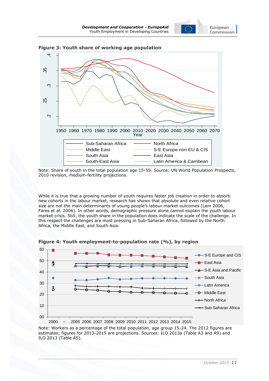



**Figure 3: Youth share of working age population** 

While it is true that a growing number of youth requires faster job creation in order to absorb new cohorts in the labour market, research has shown that absolute and even relative cohort size are not the main determinants of young people's labour market outcomes (Lam 2006, Fares et al. 2006). In other words, demographic pressure alone cannot explain the youth labour market crisis. Still, the youth share in the population does indicate the scale of the challenge. In this respect the challenges are most pressing in Sub-Saharan Africa, followed by the North Africa, the Middle East, and South Asia.



**Figure 4: Youth employment-to-population rate (%), by region**

Note: Workers as a percentage of the total population, age group 15-24. The 2012 figures are estimates; figures for 2013-2015 are projections. *Sources*: ILO 2013a (Table A3 and A9) and ILO 2013 (Table A5).

Note: Share of youth in the total population age 15-59. *Source:* UN World Population Prospects, 2010 revision, medium-fertility projections.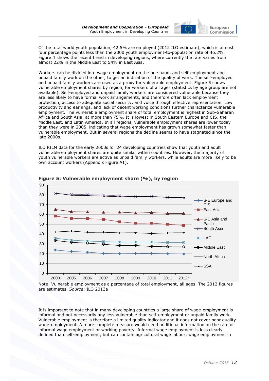

Of the total world youth population, 42.5% are employed (2012 ILO estimate), which is almost four percentage points less than the 2000 youth employment-to-population rate of 46.2%. Figure 4 shows the recent trend in developing regions, where currently the rate varies from almost 22% in the Middle East to 54% in East Asia.

Workers can be divided into wage employment on the one hand, and self-employment and unpaid family work on the other, to get an indication of the quality of work. The self-employed and unpaid family workers are used as a proxy for vulnerable employment. Figure 5 shows vulnerable employment shares by region, for workers of all ages (statistics by age group are not available). Self-employed and unpaid family workers are considered vulnerable because they are less likely to have formal work arrangements, and therefore often lack employment protection, access to adequate social security, and voice through effective representation. Low productivity and earnings, and lack of decent working conditions further characterize vulnerable employment. The vulnerable employment share of total employment is highest in Sub-Saharan Africa and South Asia, at more than 75%. It is lowest in South Eastern Europe and CIS, the Middle East, and Latin America. In all regions, vulnerable employment shares are lower today than they were in 2005, indicating that wage employment has grown somewhat faster than vulnerable employment. But in several regions the decline seems to have stagnated since the late 2000s.

ILO KILM data for the early 2000s for 24 developing countries show that youth and adult vulnerable employment shares are quite similar within countries. However, the majority of youth vulnerable workers are active as unpaid family workers, while adults are more likely to be own account workers (Appendix Figure A1).



**Figure 5: Vulnerable employment share (%), by region**

Note: Vulnerable employment as a percentage of total employment, all ages. The 2012 figures are estimates. *Source*: ILO 2013a

It is important to note that in many developing countries a large share of wage-employment is informal and not necessarily any less vulnerable than self-employment or unpaid family work. Vulnerable employment is therefore a limited quality indicator and it does not cover poor quality wage-employment. A more complete measure would need additional information on the rate of informal wage employment or working poverty. Informal wage employment is less clearly defined than self-employment, but can contain agricultural wage labour, wage employment in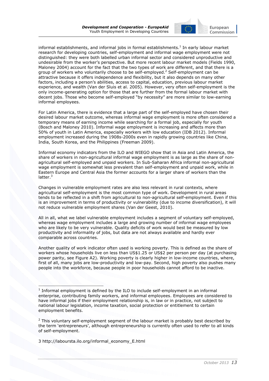

informal establishments, and informal jobs in formal establishments.<sup>1</sup> In early labour market research for developing countries, self-employment and informal wage employment were not distinguished: they were both labelled urban informal sector and considered unproductive and undesirable from the worker"s perspective. But more recent labour market models (Fields 1990, Maloney 2004) account for the fact that the two types of work are different, and that there is a group of workers who voluntarily choose to be self-employed.<sup>2</sup> Self-employment can be attractive because it offers independence and flexibility, but it also depends on many other factors, including a person's abilities, access to capital, education, previous labour market experience, and wealth (Van der Sluis et al. 2005). However, very often self-employment is the only income-generating option for those that are further from the formal labour market with decent jobs. Those who become self-employed "by necessity" are more similar to low-earning informal employees.

For Latin America, there is evidence that a large part of the self-employed have chosen their desired labour market outcome, whereas informal wage employment is more often considered a temporary means of earning income while searching for a formal job, especially for youth (Bosch and Maloney 2010). Informal wage employment is increasing and affects more than 50% of youth in Latin America, especially workers with low education (IDB 2012). Informal employment increased during the 1908s-2000s even in rapidly growing countries like China, India, South Korea, and the Philippines (Freeman 2009).

Informal economy indicators from the ILO and WIEGO show that in Asia and Latin America, the share of workers in non-agricultural informal wage employment is as large as the share of nonagricultural self-employed and unpaid workers. In Sub-Saharan Africa informal non-agricultural wage employment is somewhat less prevalent than self-employment and unpaid work, while in Eastern Europe and Central Asia the former accounts for a larger share of workers than the latter.<sup>3</sup>

Changes in vulnerable employment rates are also less relevant in rural contexts, where agricultural self-employment is the most common type of work. Development in rural areas tends to be reflected in a shift from agricultural to non-agricultural self-employment. Even if this is an improvement in terms of productivity or vulnerability (due to income diversification), it will not reduce vulnerable employment shares (Van der Geest, 2010).

All in all, what we label vulnerable employment includes a segment of voluntary self-employed, whereas wage employment includes a large and growing number of informal wage employees who are likely to be very vulnerable. Quality deficits of work would best be measured by low productivity and informality of jobs, but data are not always available and hardly ever comparable across countries.

Another quality of work indicator often used is working poverty. This is defined as the share of workers whose households live on less than US\$1.25 or US\$2 per person per day (at purchasing power parity, see Figure A2). Working poverty is clearly higher in low-income countries, where, first of all, many jobs are low-productivity and low-pay. Second, high poverty also pushes many people into the workforce, because people in poor households cannot afford to be inactive.

3 [http://laboursta.ilo.org/informal\\_economy\\_E.html](http://laborsta.ilo.org/informal_economy_E.html)

 $\overline{a}$ 

<sup>&</sup>lt;sup>1</sup> Informal employment is defined by the ILO to include self-employment in an informal enterprise, contributing family workers, and informal employees. Employees are considered to have informal jobs if their employment relationship is, in law or in practice, not subject to national labour legislation, income taxation, social protection or entitlement to certain employment benefits.

 $2$  This voluntary self-employment segment of the labour market is probably best described by the term "entrepreneurs", although entrepreneurship is currently often used to refer to all kinds of self-employment.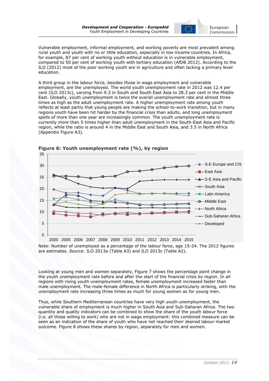

Vulnerable employment, informal employment, and working poverty are most prevalent among rural youth and youth with no or little education, especially in low-income countries. In Africa, for example, 87 per cent of working youth without education is in vulnerable employment, compared to 50 per cent of working youth with tertiary education (AfDB 2012). According to the ILO (2012) most of the poor working youth are in agriculture and often lacking a primary level education.

A third group in the labour force, besides those in wage employment and vulnerable employment, are the unemployed. The world youth unemployment rate in 2012 was 12.4 per cent (ILO 2013c), varying from 9.3 in South and South East Asia to 28.3 per cent in the Middle East. Globally, youth unemployment is twice the overall unemployment rate and almost three times as high as the adult unemployment rate. A higher unemployment rate among youth reflects at least partly that young people are making the school-to-work transition, but in many regions youth have been hit harder by the financial crisis than adults, and long unemployment spells of more than one year are increasingly common. The youth unemployment rate is currently more than 5 times higher than adult unemployment in the South-East Asia and Pacific region, while the ratio is around 4 in the Middle East and South Asia, and 3.5 in North Africa (Appendix Figure A3).



**Figure 6: Youth unemployment rate (%), by region**

Note: Number of unemployed as a percentage of the labour force, age 15-24. The 2012 figures are estimates. *Source*: ILO 2013a (Table A3) and ILO 2013c (Table A2).

Looking at young men and women separately, Figure 7 shows the percentage point change in the youth unemployment rate before and after the start of the financial crisis by region. In all regions with rising youth unemployment rates, female unemployment increased faster than male unemployment. The male-female difference in North Africa is particularly striking, with the unemployment rate increasing three times as much for young women as for young men.

Thus, while Southern Mediterranean countries have very high youth unemployment, the vulnerable share of employment is much higher in South Asia and Sub-Saharan Africa. The two quantity and quality indicators can be combined to show the share of the youth labour force (i.e. all those willing to work) who are not in wage employment: this combined measure can be seen as an indication of the share of youth who have not reached their desired labour market outcome. Figure 8 shows these shares by region, separately for men and women.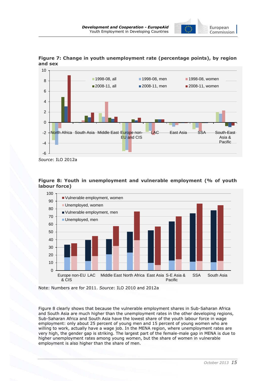

**Figure 7: Change in youth unemployment rate (percentage points), by region and sex**

*Source*: ILO 2012a



**Figure 8: Youth in unemployment and vulnerable employment (% of youth labour force)** 

Note: Numbers are for 2011. *Source*: ILO 2010 and 2012a

Figure 8 clearly shows that because the vulnerable employment shares in Sub-Saharan Africa and South Asia are much higher than the unemployment rates in the other developing regions, Sub-Saharan Africa and South Asia have the lowest share of the youth labour force in wage employment: only about 25 percent of young men and 15 percent of young women who are willing to work, actually have a wage job. In the MENA region, where unemployment rates are very high, the gender gap is striking. The largest part of the female-male gap in MENA is due to higher unemployment rates among young women, but the share of women in vulnerable employment is also higher than the share of men.

European Commission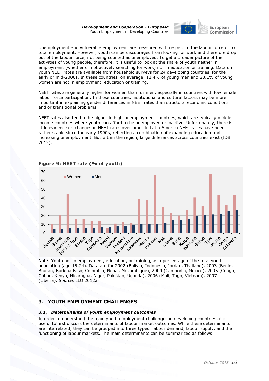

Unemployment and vulnerable employment are measured with respect to the labour force or to total employment. However, youth can be discouraged from looking for work and therefore drop out of the labour force, not being counted as unemployed. To get a broader picture of the activities of young people, therefore, it is useful to look at the share of youth neither in employment (whether or not actively searching for work) nor in education or training. Data on youth NEET rates are available from household surveys for 24 developing countries, for the early or mid-2000s. In these countries, on average, 12.4% of young men and 28.1% of young women are not in employment, education or training.

NEET rates are generally higher for women than for men, especially in countries with low female labour force participation. In those countries, institutional and cultural factors may be more important in explaining gender differences in NEET rates than structural economic conditions and or transitional problems.

NEET rates also tend to be higher in high-unemployment countries, which are typically middleincome countries where youth can afford to be unemployed or inactive. Unfortunately, there is little evidence on changes in NEET rates over time. In Latin America NEET rates have been rather stable since the early 1990s, reflecting a combination of expanding education and increasing unemployment. But within the region, large differences across countries exist (IDB 2012).



## **Figure 9: NEET rate (% of youth)**

Note: Youth not in employment, education, or training, as a percentage of the total youth population (age 15-24). Data are for 2002 (Bolivia, Indonesia, Jordan, Thailand), 2003 (Benin, Bhutan, Burkina Faso, Colombia, Nepal, Mozambique), 2004 (Cambodia, Mexico), 2005 (Congo, Gabon, Kenya, Nicaragua, Niger, Pakistan, Uganda), 2006 (Mali, Togo, Vietnam), 2007 (Liberia). *Source*: ILO 2012a.

## <span id="page-17-0"></span>**3. YOUTH EMPLOYMENT CHALLENGES**

## <span id="page-17-1"></span>*3.1. Determinants of youth employment outcomes*

In order to understand the main youth employment challenges in developing countries, it is useful to first discuss the determinants of labour market outcomes. While these determinants are interrelated, they can be grouped into three types: labour demand, labour supply, and the functioning of labour markets. The main determinants can be summarized as follows: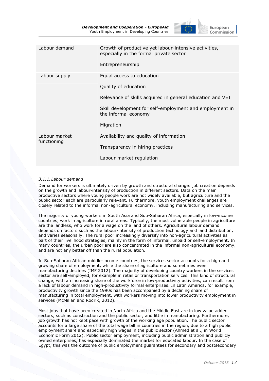

| Labour demand                | Growth of productive yet labour-intensive activities,<br>especially in the formal private sector |
|------------------------------|--------------------------------------------------------------------------------------------------|
|                              | Entrepreneurship                                                                                 |
| Labour supply                | Equal access to education                                                                        |
|                              | Quality of education                                                                             |
|                              | Relevance of skills acquired in general education and VET                                        |
|                              | Skill development for self-employment and employment in<br>the informal economy                  |
|                              | Migration                                                                                        |
| Labour market<br>functioning | Availability and quality of information                                                          |
|                              | Transparency in hiring practices                                                                 |
|                              | Labour market regulation                                                                         |

#### <span id="page-18-0"></span>*3.1.1. Labour demand*

Demand for workers is ultimately driven by growth and structural change: job creation depends on the growth and labour-intensity of production in different sectors. Data on the main productive sectors where young people work are not widely available, but agriculture and the public sector each are particularly relevant. Furthermore, youth employment challenges are closely related to the informal non-agricultural economy, including manufacturing and services.

The majority of young workers in South Asia and Sub-Saharan Africa, especially in low-income countries, work in agriculture in rural areas. Typically, the most vulnerable people in agriculture are the landless, who work for a wage on the land of others. Agricultural labour demand depends on factors such as the labour-intensity of production technology and land distribution, and varies seasonally. The rural poor increasingly diversify into non-agricultural activities as part of their livelihood strategies, mainly in the form of informal, unpaid or self-employment. In many countries, the urban poor are also concentrated in the informal non-agricultural economy, and are not any better off than the rural population.

In Sub-Saharan African middle-income countries, the services sector accounts for a high and growing share of employment, while the share of agriculture and sometimes even manufacturing declines (IMF 2012). The majority of developing country workers in the services sector are self-employed, for example in retail or transportation services. This kind of structural change, with an increasing share of the workforce in low-productivity activities, can result from a lack of labour demand in high-productivity formal enterprises. In Latin America, for example, productivity growth since the 1990s has been accompanied by a declining share of manufacturing in total employment, with workers moving into lower productivity employment in services (McMillan and Rodrik, 2012).

Most jobs that have been created in North Africa and the Middle East are in low value added sectors, such as construction and the public sector, and little in manufacturing. Furthermore, job growth has not kept pace with growth of the working age population. The public sector accounts for a large share of the total wage bill in countries in the region, due to a high public employment share and especially high wages in the public sector (Ahmed et al., in World Economic Form 2012). Public sector employment, including public administration and publicly owned enterprises, has especially dominated the market for educated labour. In the case of Egypt, this was the outcome of public employment guarantees for secondary and postsecondary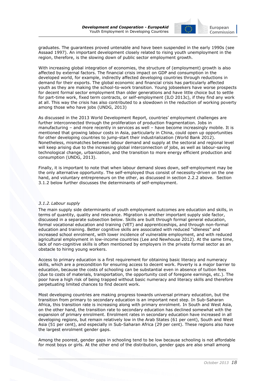

graduates. The guarantees proved untenable and have been suspended in the early 1990s (see Assaad 1997). An important development closely related to rising youth unemployment in the region, therefore, is the slowing down of public sector employment growth.

With increasing global integration of economies, the structure of (employment) growth is also affected by external factors. The financial crisis impact on GDP and consumption in the developed world, for example, indirectly affected developing countries through reductions in demand for their exports. The global economic and financial crisis has particularly affected youth as they are making the school-to-work transition. Young jobseekers have worse prospects for decent formal sector employment than older generations and have little choice but to settle for part-time work, fixed term contracts, or self-employment (ILO 2013c), if they find any work at all. This way the crisis has also contributed to a slowdown in the reduction of working poverty among those who have jobs (UNDG, 2013)

As discussed in the 2013 World Development Report, countries' employment challenges are further interconnected through the proliferation of production fragmentation. Jobs in manufacturing – and more recently in services as well – have become increasingly mobile. It is mentioned that growing labour costs in Asia, particularly in China, could open up opportunities for other developing countries to jump-start their industrialization (World Bank 2012). Nonetheless, mismatches between labour demand and supply at the sectoral and regional level will keep arising due to the increasing global interconnection of jobs, as well as labour-saving technological change, urbanization, and the transition to more energy efficient production and consumption (UNDG, 2013).

Finally, it is important to note that when labour demand slows down, self-employment may be the only alternative opportunity. The self-employed thus consist of necessity-driven on the one hand, and voluntary entrepreneurs on the other, as discussed in section 2.2.2 above. Section 3.1.2 below further discusses the determinants of self-employment.

#### <span id="page-19-0"></span>*3.1.2. Labour supply*

The main supply side determinants of youth employment outcomes are education and skills, in terms of quantity, quality and relevance. Migration is another important supply side factor, discussed in a separate subsection below. Skills are built through formal general education, formal vocational education and training (VET) and apprenticeships, and through non-formal education and training. Better cognitive skills are associated with reduced "idleness" and increased school enrolment, with lower incidence of vulnerable employment, and with reduced agricultural employment in low-income countries (Lee and Newhouse 2012). At the same time, lack of non-cognitive skills is often mentioned by employers in the private formal sector as an obstacle to hiring young workers.

Access to primary education is a first requirement for obtaining basic literacy and numeracy skills, which are a precondition for ensuring access to decent work. Poverty is a major barrier to education, because the costs of schooling can be substantial even in absence of tuition fees (due to costs of materials, transportation, the opportunity cost of foregone earnings, etc.). The poor have a high risk of being trapped without basic numeracy and literacy skills and therefore perpetuating limited chances to find decent work.

Most developing countries are making progress towards universal primary education, but the transition from primary to secondary education is an important next step. In Sub-Saharan Africa, this transition rate is increasing along with primary enrolment. In South and West Asia, on the other hand, the transition rate to secondary education has declined somewhat with the expansion of primary enrolment. Enrolment rates in secondary education have increased in all developing regions, but remain relatively low in the Arab States (61 per cent), South and West Asia (51 per cent), and especially in Sub-Saharan Africa (29 per cent). These regions also have the largest enrolment gender gaps.

Among the poorest, gender gaps in schooling tend to be low because schooling is not affordable for most boys or girls. At the other end of the distribution, gender gaps are also small among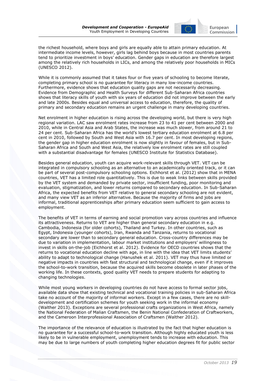

the richest household, where boys and girls are equally able to attain primary education. At intermediate income levels, however, girls lag behind boys because in most countries parents tend to prioritize investment in boys" education. Gender gaps in education are therefore largest among the relatively rich households in LICs, and among the relatively poor households in MICs (UNESCO 2012).

While it is commonly assumed that it takes four or five years of schooling to become literate, completing primary school is no guarantee for literacy in many low-income countries. Furthermore, evidence shows that education quality gaps are not necessarily decreasing. Evidence from Demographic and Health Surveys for different Sub-Saharan Africa countries shows that literacy skills of youth with six years of education did not improve between the early and late 2000s. Besides equal and universal access to education, therefore, the quality of primary and secondary education remains an urgent challenge in many developing countries.

Net enrolment in higher education is rising across the developing world, but there is very high regional variation. LAC saw enrolment rates increase from 23 to 41 per cent between 2000 and 2010, while in Central Asia and Arab States, the increase was much slower, from around 21 to 24 per cent. Sub-Saharan Africa has the world"s lowest tertiary education enrolment at 6.8 per cent in 2010, followed by South and West Asia with 16.7 per cent. In most developing regions, the gender gap in higher education enrolment is now slightly in favour of females, but in Sub-Saharan Africa and South and West Asia, the relatively low enrolment rates are still coupled with a substantial disadvantage for females (UNESCO Institute for Statistics Database).

Besides general education, youth can acquire work-relevant skills through VET. VET can be integrated in compulsory schooling as an alternative to an academically oriented track, or it can be part of several post-compulsory schooling options. Eichhorst et al. (2012) show that in MENA countries, VET has a limited role quantitatively. This is due to weak links between skills provided by the VET system and demanded by private sector, insufficient funding, poor monitoring and evaluation, stigmatization, and lower returns compared to secondary education. In Sub-Saharan Africa, the expected benefits from VET relative to general secondary schooling are not evident, and many view VET as an inferior alternative. Because the majority of firms and jobs are informal, traditional apprenticeships after primary education seem sufficient to gain access to employment.

The benefits of VET in terms of earning and social promotion vary across countries and influence its attractiveness. Returns to VET are higher than general secondary education in e.g. Cambodia, Indonesia (for older cohorts), Thailand and Turkey. In other countries, such as Egypt, Indonesia (younger cohorts), Iran, Rwanda and Tanzania, returns to vocational secondary are lower than to secondary general education. Cross-country differences may be due to variation in implementation, labour market institutions and employers' willingness to invest in skills on-the-job (Eichhorst et al. 2012). Evidence for OECD countries shows that the returns to vocational education decline with age, in line with the idea that VET limits students" ability to adapt to technological change (Hanushek et al. 2011). VET may thus have limited or negative impacts in countries with fast structural and technological change, even if it improves the school-to-work transition, because the acquired skills become obsolete in later phases of the working life. In these contexts, good quality VET needs to prepare students for adapting to changing technologies.

While most young workers in developing countries do not have access to formal sector jobs, available data show that existing technical and vocational training policies in sub-Saharan Africa take no account of the majority of informal workers. Except in a few cases, there are no skilldevelopment and certification schemes for youth seeking work in the informal economy (Walther 2013). Exceptions are several professional crafts organizations in West Africa, namely the National Federation of Malian Craftsmen, the Benin National Confederation of Craftworkers, and the Cameroon Interprofessional Association of Craftsmen (Walther 2012).

The importance of the relevance of education is illustrated by the fact that higher education is no guarantee for a successful school-to-work transition. Although highly educated youth is less likely to be in vulnerable employment, unemployment tends to increase with education. This may be due to large numbers of youth completing higher education degrees fit for public sector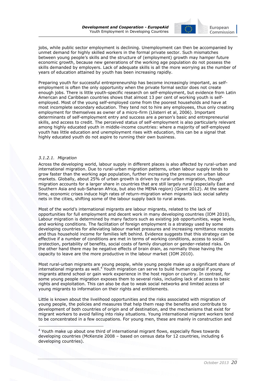

jobs, while public sector employment is declining. Unemployment can then be accompanied by unmet demand for highly skilled workers in the formal private sector. Such mismatches between young people"s skills and the structure of (employment) growth may hamper future economic growth, because new generations of the working age population do not possess the skills demanded by employers. Lack of adequate skills is all the more worrying as the number of years of education attained by youth has been increasing rapidly.

Preparing youth for successful entrepreneurship has become increasingly important, as selfemployment is often the only opportunity when the private formal sector does not create enough jobs. There is little youth-specific research on self-employment, but evidence from Latin American and Caribbean countries shows that almost 13 per cent of working youth is selfemployed. Most of the young self-employed come from the poorest households and have at most incomplete secondary education. They tend not to hire any employees, thus only creating employment for themselves as owner of a micro-firm (Llisterri et al, 2006). Important determinants of self-employment entry and success are a person"s basic and entrepreneurial skills, and access to credit. The perceived status of self-employment is also particularly relevant among highly educated youth in middle-income countries: where a majority of self-employed youth has little education and unemployment rises with education, this can be a signal that highly educated youth do not aspire to running their own business.

#### *3.1.2.1. Migration*

-

Across the developing world, labour supply in different places is also affected by rural-urban and international migration. Due to rural-urban migration patterns, urban labour supply tends to grow faster than the working age population, further increasing the pressure on urban labour markets. Globally, about 25% of urban growth is driven by rural-urban migration, though migration accounts for a larger share in countries that are still largely rural (especially East and Southern Asia and sub-Saharan Africa, but also the MENA region) (Grant 2012). At the same time, economic crises induce high rates of return-migration when migrants lack social safety nets in the cities, shifting some of the labour supply back to rural areas.

Most of the world"s international migrants are labour migrants, related to the lack of opportunities for full employment and decent work in many developing countries (IOM 2010). Labour migration is determined by many factors such as existing job opportunities, wage levels, and working conditions. The facilitation of foreign employment is a strategy used by some developing countries for alleviating labour market pressures and increasing remittance receipts and thus household income for families left behind. Evidence suggests that this strategy can be effective if a number of conditions are met in terms of working conditions, access to social protection, portability of benefits, social costs of family disruption or gender-related risks. On the other hand there may be negative effects of brain drain, as normally those having the capacity to leave are the more productive in the labour market (IOM 2010).

Most rural-urban migrants are young people, while young people make up a significant share of international migrants as well.<sup>4</sup> Youth migration can serve to build human capital if young migrants attend school or gain work experience in the host region or country. In contrast, for some young people migration exposes them to several risks, including lack of access to basic rights and exploitation. This can also be due to weak social networks and limited access of young migrants to information on their rights and entitlements.

Little is known about the livelihood opportunities and the risks associated with migration of young people, the policies and measures that help them reap the benefits and contribute to development of both countries of origin and of destination, and the mechanisms that exist for migrant workers to avoid falling into risky situations. Young international migrant workers tend to be concentrated in a few occupations. For young men, these are mainly in construction and

<sup>&</sup>lt;sup>4</sup> Youth make up about one third of international migrant flows, especially flows towards developing countries (McKenzie 2008 – based on census data for 12 countries, including 6 developing countries).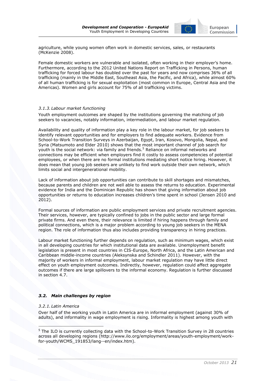

agriculture, while young women often work in domestic services, sales, or restaurants (McKenzie 2008).

Female domestic workers are vulnerable and isolated, often working in their employer"s home. Furthermore, according to the 2012 United Nations Report on Trafficking in Persons, human trafficking for forced labour has doubled over the past for years and now comprises 36% of all trafficking (mainly in the Middle East, Southeast Asia, the Pacific, and Africa), while almost 60% of all human trafficking is for sexual exploitation (most common in Europe, Central Asia and the Americas). Women and girls account for 75% of all trafficking victims.

#### <span id="page-22-0"></span>*3.1.3. Labour market functioning*

Youth employment outcomes are shaped by the institutions governing the matching of job seekers to vacancies, notably information, intermediation, and labour market regulation.

Availability and quality of information play a key role in the labour market, for job seekers to identify relevant opportunities and for employers to find adequate workers. Evidence from School-to-Work Transition Surveys in Azerbaijan, Egypt, Iran, Kosovo, Mongolia, Nepal, and Syria (Matsumoto and Elder 2010) shows that the most important channel of job search for youth is the social network: via family and friends.<sup>5</sup> Reliance on informal networks and connections may be efficient when employers find it costly to assess competencies of potential employees, or when there are no formal institutions mediating short notice hiring. However, it does mean that young job seekers are unlikely to find work outside their own network, which limits social and intergenerational mobility.

Lack of information about job opportunities can contribute to skill shortages and mismatches, because parents and children are not well able to assess the returns to education. Experimental evidence for India and the Dominican Republic has shown that giving information about job opportunities or returns to education increases children"s time spent in school (Jensen 2010 and 2012).

Formal sources of information are public employment services and private recruitment agencies. Their services, however, are typically confined to jobs in the public sector and large formal private firms. And even there, their relevance is limited if hiring happens through family and political connections, which is a major problem according to young job seekers in the MENA region. The role of information thus also includes providing transparency in hiring practices.

Labour market functioning further depends on regulation, such as minimum wages, which exist in all developing countries for which institutional data are available. Unemployment benefit legislation is present in most countries in CIS-Europe, North Africa, and the Latin American and Caribbean middle-income countries (Aleksynska and Schindler 2011). However, with the majority of workers in informal employment, labour market regulation may have little direct effect on youth employment outcomes. Indirectly, however, regulation could affect aggregate outcomes if there are large spillovers to the informal economy. Regulation is further discussed in section 4.7.

#### <span id="page-22-1"></span>*3.2. Main challenges by region*

#### <span id="page-22-2"></span>*3.2.1. Latin America*

-

Over half of the working youth in Latin America are in informal employment (against 30% of adults), and informality in wage employment is rising. Informality is highest among youth with

<sup>&</sup>lt;sup>5</sup> The ILO is currently collecting data with the School-to-Work Transition Survey in 28 countries across all developing regions [\(http://www.ilo.org/employment/areas/youth-employment/work](http://www.ilo.org/employment/areas/youth-employment/work-for-youth/WCMS_191853/lang--en/index.htm)[for-youth/WCMS\\_191853/lang--en/index.htm\)](http://www.ilo.org/employment/areas/youth-employment/work-for-youth/WCMS_191853/lang--en/index.htm).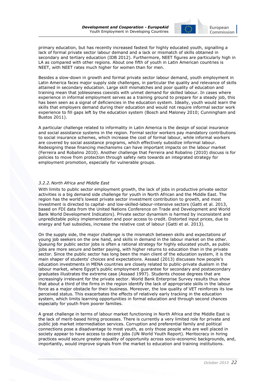

primary education, but has recently increased fastest for highly educated youth, signalling a lack of formal private sector labour demand and a lack or mismatch of skills obtained in secondary and tertiary education (IDB 2012). Furthermore, NEET figures are particularly high in LA as compared with other regions. About one fifth of youth in Latin American countries is NEET, with NEET rates much higher for women than for men.

Besides a slow-down in growth and formal private sector labour demand, youth employment in Latin America faces major supply side challenges, in particular the quality and relevance of skills attained in secondary education. Large skill mismatches and poor quality of education and training mean that joblessness coexists with unmet demand for skilled labour. In cases where experience in informal employment serves as a training ground to prepare for a steady job, this has been seen as a signal of deficiencies in the education system. Ideally, youth would learn the skills that employers demand during their education and would not require informal sector work experience to fill gaps left by the education system (Bosch and Maloney 2010; Cunningham and Bustos 2011).

A particular challenge related to informality in Latin America is the design of social insurance and social assistance systems in the region. Formal sector workers pay mandatory contributions to social insurance schemes, which increase the cost of formal labour, while informal workers are covered by social assistance programs, which effectively subsidize informal labour. Redesigning these financing mechanisms can have important impacts on the labour market (Ferreira and Robalino 2010). Another challenge that Ferreira and Robalino (2010) discuss is for policies to move from protection through safety nets towards an integrated strategy for employment promotion, especially for vulnerable groups.

#### <span id="page-23-0"></span>*3.2.2.North Africa and Middle East*

With limits to public sector employment growth, the lack of jobs in productive private sector activities is a big demand side challenge for youth in North African and the Middle East. The region has the world"s lowest private sector investment contribution to growth, and most investment is directed to capital- and low-skilled-labour-intensive sectors (Gatti et al. 2013, based on FDI data from the United Nations Conference on Trade and Development and World Bank World Development Indicators). Private sector dynamism is harmed by inconsistent and unpredictable policy implementation and poor access to credit. Distorted input prices, due to energy and fuel subsidies, increase the relative cost of labour (Gatti et al. 2013).

On the supply side, the major challenge is the mismatch between skills and expectations of young job seekers on the one hand, and skills in demand in the labour market on the other. Queuing for public sector jobs is often a rational strategy for highly educated youth, as public jobs are more secure and better paying, with higher returns to education than in the private sector. Since the public sector has long been the main client of the education system, it is the main shaper of students" choices and expectations. Assaad (2013) discusses how people"s education investments in MENA countries are closely related to public-private dualism in the labour market, where Egypt's public employment quarantee for secondary and postsecondary graduates illustrates the extreme case (Assaad 1997). Students choose degrees that are increasingly irrelevant for the private sector. World Bank Enterprise Survey results thus show that about a third of the firms in the region identify the lack of appropriate skills in the labour force as a major obstacle for their business. Moreover, the low quality of VET reinforces its low perceived status. This exacerbates the effects of relatively early tracking in the education system, which limits learning opportunities in formal education and through second chances especially for youth from poorer families.

A great challenge in terms of labour market functioning in North Africa and the Middle East is the lack of merit-based hiring processes. There is currently a very limited role for private and public job market intermediation services. Corruption and preferential family and political connections pose a disadvantage to most youth, as only those people who are well placed in society appear to have access to decent jobs (UN World Youth Report). Meritocracy in hiring practices would secure greater equality of opportunity across socio-economic backgrounds, and, importantly, would improve signals from the market to education and training institutions.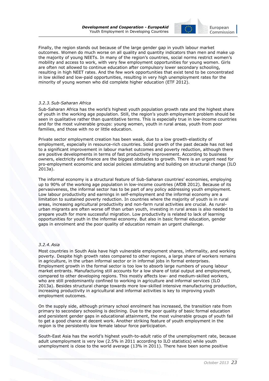

Finally, the region stands out because of the large gender gap in youth labour market outcomes. Women do much worse on all quality and quantity indicators than men and make up the majority of young NEETs. In many of the region"s countries, social norms restrict women"s mobility and access to work, with very few employment opportunities for young women. Girls are often not allowed to continue education after compulsory lower secondary schooling, resulting in high NEET rates. And the few work opportunities that exist tend to be concentrated in low skilled and low-paid opportunities, resulting in very high unemployment rates for the minority of young women who did complete higher education (ETF 2012).

#### <span id="page-24-0"></span>*3.2.3.Sub-Saharan Africa*

Sub-Saharan Africa has the world"s highest youth population growth rate and the highest share of youth in the working age population. Still, the region"s youth employment problem should be seen in qualitative rather than quantitative terms. This is especially true in low-income countries and for the most vulnerable groups: young women, youth in rural areas, youth from poor families, and those with no or little education.

Private sector employment creation has been weak, due to a low growth-elasticity of employment, especially in resource-rich countries. Solid growth of the past decade has not led to a significant improvement in labour market outcomes and poverty reduction, although there are positive developments in terms of fast productivity improvement. According to business owners, electricity and finance are the biggest obstacles to growth. There is an urgent need for pro-employment economic and social policies stimulating and building on structural change (ILO 2013a).

The informal economy is a structural feature of Sub-Saharan countries' economies, employing up to 90% of the working age population in low-income countries (AfDB 2012). Because of its pervasiveness, the informal sector has to be part of any policy addressing youth employment. Low labour productivity and earnings in self-employment and the informal economy are a limitation to sustained poverty reduction. In countries where the majority of youth is in rural areas, increasing agricultural productivity and non-farm rural activities are crucial. As ruralurban migrants are often worse off than urban youth, investing in rural areas is also needed to prepare youth for more successful migration. Low productivity is related to lack of learning opportunities for youth in the informal economy. But also in basic formal education, gender gaps in enrolment and the poor quality of education remain an urgent challenge.

#### <span id="page-24-1"></span>*3.2.4.Asia*

Most countries in South Asia have high vulnerable employment shares, informality, and working poverty. Despite high growth rates compared to other regions, a large share of workers remains in agriculture, in the urban informal sector or in informal jobs in formal enterprises. Employment growth in the formal sector is too low to absorb large numbers of young labour market entrants. Manufacturing still accounts for a low share of total output and employment, compared to other developing regions. This mostly affects low- and medium-skilled workers, who are still predominantly confined to working in agriculture and informal services (ILO 2013a). Besides structural change towards more low-skilled intensive manufacturing production, increasing productivity in agricultural and informal activities is key to improving youth employment outcomes.

On the supply side, although primary school enrolment has increased, the transition rate from primary to secondary schooling is declining. Due to the poor quality of basic formal education and persistent gender gaps in educational attainment, the most vulnerable groups of youth fail to get a good chance at decent work. Another striking feature of youth employment in the region is the persistently low female labour force participation.

South-East Asia has the world"s highest youth-to-adult ratio of the unemployment rate, because adult unemployment is very low (2.5% in 2011 according to ILO statistics) while youth unemployment is close to the world average (13% in 2011). There have been some positive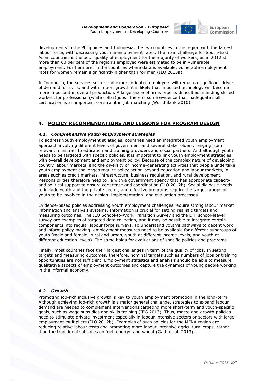

developments in the Philippines and Indonesia, the two countries in the region with the largest labour force, with decreasing youth unemployment rates. The main challenge for South-East Asian countries is the poor quality of employment for the majority of workers, as in 2012 still more than 60 per cent of the region"s employed were estimated to be in vulnerable employment. Furthermore, in the countries where data is available, vulnerable employment rates for women remain significantly higher than for men (ILO 2013a).

In Indonesia, the services sector and export-oriented employers will remain a significant driver of demand for skills, and with import growth it is likely that imported technology will become more important in overall production. A large share of firms reports difficulties in finding skilled workers for professional (white collar) jobs. There is some evidence that inadequate skill certification is an important constraint in job matching (World Bank 2010).

## <span id="page-25-0"></span>**4. POLICY RECOMMENDATIONS AND LESSONS FOR PROGRAM DESIGN**

#### <span id="page-25-1"></span>*4.1. Comprehensive youth employment strategies*

To address youth employment strategies, countries need an integrated youth employment approach involving different levels of government and several stakeholders, ranging from relevant ministries to education and training providers and social partners. And although youth needs to be targeted with specific policies, it is important to link youth employment strategies with overall development and employment policy. Because of the complex nature of developing country labour markets, and the diversity of income-generating activities that people undertake, youth employment challenges require policy action beyond education and labour markets, in areas such as credit markets, infrastructure, business regulation, and rural development. Responsibilities therefore need to lie with a government agency that has appropriate capacity and political support to ensure coherence and coordination (ILO 2012b). Social dialogue needs to include youth and the private sector, and effective programs require the target groups of youth to be involved in the design, implementation, and evaluation processes.

Evidence-based policies addressing youth employment challenges require strong labour market information and analysis systems. Information is crucial for setting realistic targets and measuring outcomes. The ILO School-to-Work Transition Survey and the ETF school-leaver survey are examples of targeted data collection, and it may be possible to integrate certain components into regular labour force surveys. To understand youth"s pathways to decent work and inform policy making, employment measures need to be available for different subgroups of youth (male and female, rural and urban, youth at different income levels, and youth at different education levels). The same holds for evaluations of specific policies and programs.

Finally, most countries face their largest challenges in term of the quality of jobs. In setting targets and measuring outcomes, therefore, nominal targets such as numbers of jobs or training opportunities are not sufficient. Employment statistics and analysis should be able to measure qualitative aspects of employment outcomes and capture the dynamics of young people working in the informal economy.

#### <span id="page-25-2"></span>*4.2. Growth*

Promoting job-rich inclusive growth is key to youth employment promotion in the long-term. Although achieving job-rich growth is a major general challenge, strategies to expand labour demand are needed to complement interventions targeting more short-term and youth-specific goals, such as wage subsidies and skills training (IEG 2013). Thus, macro and growth policies need to stimulate private investment especially in labour-intensive sectors or sectors with large employment multipliers (ILO 2012b). Examples of such policies for the MENA region are reducing relative labour costs and promoting more labour-intensive agricultural crops, rather than the traditional subsidies on fuel, energy, and wheat (Gatti et al. 2013).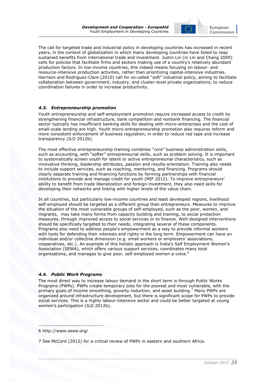

The call for targeted trade and industrial policy in developing countries has increased in recent years, in the context of globalization in which many developing countries have failed to reap sustained benefits from international trade and investment. Justin Lin (in Lin and Chang 2009) calls for policies that facilitate firms and sectors making use of a country"s relatively abundant production factors. In low-income countries, this indeed means focusing on labour- and resource-intensive production activities, rather than prioritizing capital-intensive industries. Harrison and Rodriguez-Clare (2010) call for so-called "soft" industrial policy, aiming to facilitate collaboration between government, industry, and cluster-level private organizations, to reduce coordination failures in order to increase productivity.

#### <span id="page-26-0"></span>*4.3. Entrepreneurship promotion*

Youth entrepreneurship and self-employment promotion require increased access to credit by strengthening financial infrastructure, bank competition and nonbank financing. The financial sector typically has insufficient banking skills for dealing with micro-enterprises and the cost of small-scale lending are high. Youth micro-entrepreneurship promotion also requires reform and more consistent enforcement of business regulation, in order to reduce red tape and increase transparency (ILO 2012b).

The most effective entrepreneurship training combines "core" business administration skills, such as accounting, with "softer" entrepreneurial skills, such as problem solving. It is important to systematically screen youth for latent or active entrepreneurial characteristics, such as innovative thinking, leadership attributes, passion and results-orientation. Training also needs to include support services, such as coaching, mentoring, and financing. Programs should clearly separate training and financing functions by forming partnerships with financial institutions to provide and manage credit for youth (MIF 2012). To improve entrepreneurs" ability to benefit from trade liberalization and foreign investment, they also need skills for developing their networks and linking with higher levels of the value chain.

In all countries, but particularly low-income countries and least developed regions, livelihood self-employed should be targeted as a different group than entrepreneurs. Measures to improve the situation of the most vulnerable groups of self-employed, such as the poor, women, and migrants, may take many forms from capacity building and training, to social protection measures, through improved access to social services or to finance. Well-designed interventions should be specifically targeted to their needs, integrating several of these components. Programs also need to address people's empowerment as a way to provide informal workers with tools for defending their interests and rights in the long term. Empowerment can have an individual and/or collective dimension (e.g. small workers or employers" associations, cooperatives, etc.). An example of this holistic approach is India"s Self Employment Women"s Association (SEWA), which offers various support services, coordinates many local organizations, and manages to give poor, self-employed women a voice.<sup>6</sup>

#### <span id="page-26-1"></span>*4.4. Public Work Programs*

The most direct way to increase labour demand in the short term is through Public Works Programs (PWPs). PWPs create temporary jobs for the poorest and most vulnerable, with the primary goals of income smoothing, poverty reduction, and asset building.<sup>7</sup> Many PWPs are organized around infrastructure development, but there is significant scope for PWPs to provide social services. This is a highly labour-intensive sector and could be better targeted at young women"s participation (ILO 2012b).

÷,

<sup>6</sup> <http://www.sewa.org/>

<sup>7</sup> See McCord (2012) for a critical review of PWPs in eastern and southern Africa.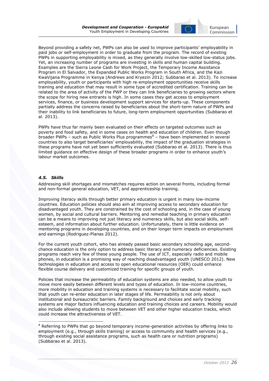

Beyond providing a safety net, PWPs can also be used to improve participants' employability in paid jobs or self-employment in order to graduate from the program. The record of existing PWPs in supporting employability is mixed, as they generally involve low-skilled low-status jobs. Yet, an increasing number of programs are investing in skills and human capital building. Examples are the Sierra Leone Cash for Work Project, the Temporary Income Assistance Program in El Salvador, the Expanded Public Works Program in South Africa, and the Kazi KwaVijana Programme in Kenya (Andrews and Kryezin 2012; Subbarao et al. 2013). To increase employability, youth or participants with high re-employment opportunities receive skills training and education that may result in some type of accredited certification. Training can be related to the area of activity of the PWP or they can link beneficiaries to growing sectors where the scope for hiring new entrants is high. In some cases they get access to employment services, finance, or business development support services for starts-up. These components partially address the concerns raised by beneficiaries about the short-term nature of PWPs and their inability to link beneficiaries to future, long-term employment opportunities (Subbarao et al. 2013).

PWPs have thus far mainly been evaluated on their effects on targeted outcomes such as poverty and food safety, and in some cases on health and education of children. Even though broader PWPs – such as Public Works Plus programmes<sup>8</sup> – have been implemented in several countries to also target beneficiaries" employability, the impact of the graduation strategies in these programs have not yet been sufficiently evaluated (Subbarao et al. 2013). There is thus limited guidance on effective design of these broader programs in order to enhance youth"s labour market outcomes.

#### <span id="page-27-0"></span>*4.5. Skills*

Addressing skill shortages and mismatches requires action on several fronts, including formal and non-formal general education, VET, and apprenticeship training.

Improving literacy skills through better primary education is urgent in many low-income countries. Education policies should also aim at improving access to secondary education for disadvantaged youth. They are constrained by the cost of schooling and, in the case of young women, by social and cultural barriers. Mentoring and remedial teaching in primary education can be a means to improving not just literacy and numeracy skills, but also social skills, selfesteem, and information about further education. Unfortunately, there is little evidence on mentoring programs in developing countries, and on their longer term impacts on employment and earnings (Rodriguez-Planas 2012).

For the current youth cohort, who has already passed basic secondary schooling age, secondchance education is the only option to address basic literacy and numeracy deficiencies. Existing programs reach very few of these young people. The use of ICT, especially radio and mobile phones, in education is a promising way of reaching disadvantaged youth (UNESCO 2012). New technologies in education and access to open educational resources (OER) could enhance flexible course delivery and customized training for specific groups of youth.

Policies that increase the permeability of education systems are also needed, to allow youth to move more easily between different levels and types of education. In low-income countries, more mobility in education and training systems is necessary to facilitate social mobility, such that youth can re-enter education in later stages of life. Permeability is not only about institutional and bureaucratic barriers. Family background and choices and early tracking systems are major factors influencing education and training choices and careers. Mobility would also include allowing students to move between VET and other higher education tracks, which could increase the attractiveness of VET.

 $\overline{a}$ <sup>8</sup> Referring to PWPs that go beyond temporary income-generation activities by offering links to employment (e.g., through skills training) or access to community and health services (e.g., through existing social assistance programs, such as health care or nutrition programs) (Subbarao et al. 2013).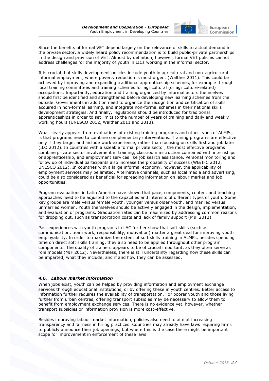

Since the benefits of formal VET depend largely on the relevance of skills to actual demand in the private sector, a widely heard policy recommendation is to build public-private partnerships in the design and provision of VET. Almost by definition, however, formal VET policies cannot address challenges for the majority of youth in LICs working in the informal sector.

It is crucial that skills development policies include youth in agricultural and non-agricultural informal employment, where poverty reduction is most urgent (Walther 2011). This could be achieved by improving and expanding traditional apprenticeship schemes, for example through local training committees and training schemes for agricultural (or agriculture-related) occupations. Importantly, education and training organized by informal actors themselves should first be identified and strengthened before developing new learning schemes from the outside. Governments in addition need to organize the recognition and certification of skills acquired in non-formal learning, and integrate non-formal schemes in their national skills development strategies. And finally, regulations should be introduced for traditional apprenticeships in order to set limits to the number of years of training and daily and weekly working hours (UNESCO 2012, Walther 2011 and 2013).

What clearly appears from evaluations of existing training programs and other types of ALMPs, is that programs need to combine complementary interventions. Training programs are effective only if they target and include work experience, rather than focusing on skills first and job later (ILO 2012). In countries with a sizeable formal private sector, the most effective programs combine private sector involvement in training, classroom instruction combined with internships or apprenticeship, and employment services like job search assistance. Personal monitoring and follow up of individual participants also increase the probability of success (WB/IFC 2012, UNESCO 2012). In countries with a large informal economy, however, the applicability of employment services may be limited. Alternative channels, such as local media and advertising, could be also considered as beneficial for spreading information on labour market and job opportunities.

Program evaluations in Latin America have shown that pace, components, content and teaching approaches need to be adjusted to the capacities and interests of different types of youth. Some key groups are male versus female youth, younger versus older youth, and married versus unmarried women. Youth themselves should be actively engaged in the design, implementation, and evaluation of programs. Graduation rates can be maximized by addressing common reasons for dropping out, such as transportation costs and lack of family support (MIF 2012).

Past experiences with youth programs in LAC further show that soft skills (such as communication, team work, responsibility, motivation) matter a great deal for improving youth employability. In order to maximize the extent of soft skills training in ALMPs, besides spending time on direct soft skills training, they also need to be applied throughout other program components. The quality of trainers appears to be of crucial important, as they often serve as role models (MIF 2012). Nevertheless, there is still uncertainty regarding how these skills can be imparted, what they include, and if and how they can be assessed.

#### <span id="page-28-0"></span>*4.6. Labour market information*

When jobs exist, youth can be helped by providing information and employment exchange services through educational institutions, or by offering these in youth centres. Better access to information further requires the availability of transportation. For poorer youth and those living further from urban centres, offering transport subsidies may be necessary to allow them to benefit from employment exchange services. There is no evidence yet, however, whether transport subsidies or information provision is more cost-effective.

Besides improving labour market information, policies also need to aim at increasing transparency and fairness in hiring practices. Countries may already have laws requiring firms to publicly announce their job openings, but where this is the case there might be important scope for improvement in enforcement of these laws.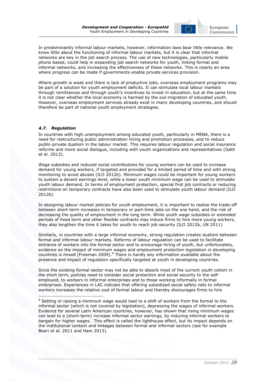

In predominantly informal labour markets, however, information laws bear little relevance. We know little about the functioning of informal labour markets, but it is clear that informal networks are key in the job search process. The use of new technologies, particularly mobile phone based, could help in expanding job search networks for youth, linking formal and informal networks, and increasing the effectiveness of these networks. This is clearly an area where progress can be made if governments enable private services provision.

Where growth is weak and there is lack of productive jobs, overseas employment programs may be part of a solution for youth employment deficits. It can stimulate local labour markets through remittances and through youth"s incentives to invest in education, but at the same time it is not clear whether the local economy is harmed by the out-migration of educated youth. However, overseas employment services already exist in many developing countries, and should therefore be part of national youth employment strategies.

#### <span id="page-29-0"></span>*4.7. Regulation*

-

In countries with high unemployment among educated youth, particularly in MENA, there is a need for restructuring public administration hiring and promotion processes, and to reduce public-private dualism in the labour market. This requires labour regulation and social insurance reforms and more social dialogue, including with youth organizations and representatives (Gatti et al. 2013).

Wage subsidies and reduced social contributions for young workers can be used to increase demand for young workers, if targeted and provided for a limited period of time and with strong monitoring to avoid abuses (ILO 2012b). Minimum wages could be important for young workers to sustain a decent earnings level, while a lower youth minimum wage can be used to stimulate youth labour demand. In terms of employment protection, special first job contracts or reducing restrictions on temporary contracts have also been used to stimulate youth labour demand (ILO 2012b).

In designing labour market policies for youth employment, it is important to realize the trade-off between short-term increases in temporary or part-time jobs on the one hand, and the risk of decreasing the quality of employment in the long term. While youth wage subsidies or extended periods of fixed term and other flexible contracts may induce firms to hire more young workers, they also lengthen the time it takes for youth to reach job security (ILO 2012b, UN 2011)

Similarly, in countries with a large informal economy, strong regulation creates dualism between formal and informal labour markets. Reforms of labour regulation can be used to facilitate entrance of workers into the formal sector and to encourage hiring of youth, but unfortunately, evidence on the impact of minimum wages and employment protection legislation in developing countries is mixed (Freeman 2009).<sup>9</sup> There is hardly any information available about the presence and impact of regulation specifically targeted at youth in developing countries.

Since the existing formal sector may not be able to absorb most of the current youth cohort in the short term, policies need to consider social protection and social security to the selfemployed, to workers in informal enterprises and to those working informally in formal enterprises. Experiences in LAC indicate that offering subsidized social safety nets to informal workers increases the relative cost of formal labour and thereby discourages firms to hire

 $9$  Setting or raising a minimum wage would lead to a shift of workers from the formal to the informal sector (which is not covered by legislation), depressing the wages of informal workers. Evidence for several Latin American countries, however, has shown that rising minimum wages can lead to a (short-term) increase informal sector earnings, by inducing informal workers to bargain for higher wages. This effect is called the lighthouse effect, but its impact depends on the institutional context and linkages between formal and informal sectors (see for example Boeri et al. 2011 and Ham 2013).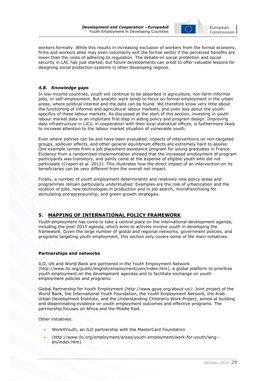

workers formally. While this results in increasing exclusion of workers from the formal economy, firms and workers alike may even voluntarily exit the formal sector if the perceived benefits are lower than the costs of adhering to regulation. The debate on social protection and social security in LAC has just started, but future developments can proof to offer valuable lessons for designing social protection systems in other developing regions.

#### <span id="page-30-0"></span>*4.8. Knowledge gaps*

In low-income countries, youth will continue to be absorbed in agriculture, non-farm informal jobs, or self-employment. But analytic work tends to focus on formal employment in the urban areas, where political interest and the data can be found. We therefore know very little about the functioning of informal and agricultural labour markets, and even less about the youthspecifics of these labour markets. As discussed at the start of this section, investing in youth labour market data is an important first step in aiding policy and program design. Improving data infrastructure in LICs, in cooperation with their local statistical offices, is furthermore likely to increase attention to the labour market situation of vulnerable youth.

Even where policies can be and have been evaluated, impacts of interventions on non-targeted groups, spillover effects, and other general equilibrium effects are extremely hard to assess. One example comes from a job placement assistance program for young graduates in France. Evidence from a randomized implementation showed that the increased employment of program participants was transitory, and partly came at the expense of eligible youth who did not participate (Crepon et al. 2012). This illustrates how the direct impact of an intervention on its beneficiaries can be very different from the overall net impact.

Finally, a number of youth employment determinants and relatively new policy areas and programmes remain particularly understudied. Examples are the role of urbanization and the location of jobs, new technologies in production and in job search, microfranchising for stimulating entrepreneurship, and green growth strategies.

## <span id="page-30-1"></span>**5. MAPPING OF INTERNATIONAL POLICY FRAMEWORK**

Youth employment has come to take a central place on the international development agenda, including the post-2015 agenda, which aims to actively involve youth in developing the framework. Given the large number of global and regional networks, government policies, and programs targeting youth employment, this section only covers some of the main initiatives.

## **Partnerships and networks**

ILO, UN and World Bank are partnered in the Youth Employment Network [\(http://www.ilo.org/public/english/employment/yen/index.htm\)](http://www.ilo.org/public/english/employment/yen/index.htm), a global platform to prioritize youth employment on the development agendas and to facilitate exchange on youth employment policies and programs.

Global Partnership for Youth Employment [\(http://www.gpye.org/about-us\)](http://www.gpye.org/about-us): Joint project of the World Bank, the International Youth Foundation, the Youth Employment Network, the Arab Urban Development Institute, and the Understanding Children's Work Project, aimed at building and disseminating evidence on youth employment outcomes and effective programs. The partnership focuses on Africa and the Middle East.

Other initiatives:

- Work4Youth, an ILO partnership with the MasterCard Foundation
- [\(http://www.ilo.org/employment/areas/youth-employment/work-for-youth/lang-](http://www.ilo.org/employment/areas/youth-employment/work-for-youth/lang--en/index.htm) [en/index.htm\)](http://www.ilo.org/employment/areas/youth-employment/work-for-youth/lang--en/index.htm)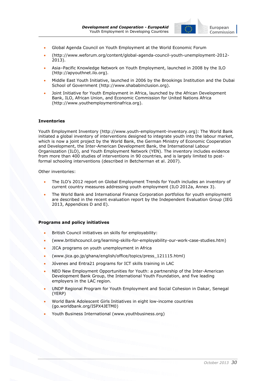

- Global Agenda Council on Youth Employment at the World Economic Forum
- [\(http://www.weforum.org/content/global-agenda-council-youth-unemployment-2012-](http://www.weforum.org/content/global-agenda-council-youth-unemployment-2012-2013) [2013\)](http://www.weforum.org/content/global-agenda-council-youth-unemployment-2012-2013).
- Asia–Pacific Knowledge Network on Youth Employment, launched in 2008 by the ILO [\(http://apyouthnet.ilo.org\)](http://apyouthnet.ilo.org/).
- Middle East Youth Initiative, launched in 2006 by the Brookings Institution and the Dubai School of Government [\(http://www.shababinclusion.org\)](http://www.shababinclusion.org/).
- Joint Initiative for Youth Employment in Africa, launched by the African Development Bank, ILO, African Union, and Economic Commission for United Nations Africa [\(http://www.youthemploymentinafrica.org\)](http://www.youthemploymentinafrica.org/).

#### **Inventories**

Youth Employment Inventory [\(http://www.youth-employment-inventory.org\)](http://www.youth-employment-inventory.org/): The World Bank initiated a global inventory of interventions designed to integrate youth into the labour market, which is now a joint project by the World Bank, the German Ministry of Economic Cooperation and Development, the Inter-American Development Bank, the International Labour Organiszation (ILO), and Youth Employment Network (YEN). The inventory includes evidence from more than 400 studies of interventions in 90 countries, and is largely limited to postformal schooling interventions (described in Betcherman et al. 2007).

Other inventories:

- The ILO"s 2012 report on Global Employment Trends for Youth includes an inventory of current country measures addressing youth employment (ILO 2012a, Annex 3).
- The World Bank and International Finance Corporation portfolios for youth employment are described in the recent evaluation report by the Independent Evaluation Group (IEG 2013, Appendices D and E).

#### **Programs and policy initiatives**

- British Council initiatives on skills for employability:
- [\(www.britishcouncil.org/learning-skills-for-employability-our-work-case-studies.htm\)](http://www.britishcouncil.org/learning-skills-for-employability-our-work-case-studies.htm)
- JICA programs on youth unemployment in Africa
- [\(www.jica.go.jp/ghana/english/office/topics/press\\_121115.html\)](http://www.jica.go.jp/ghana/english/office/topics/press_121115.html)
- Jóvenes and Entra21 programs for ICT skills training in LAC
- NEO New Employment Opportunities for Youth: a partnership of the Inter-American Development Bank Group, the International Youth Foundation, and five leading employers in the LAC region.
- UNDP Regional Program for Youth Employment and Social Cohesion in Dakar, Senegal (YERP)
- World Bank Adolescent Girls Initiatives in eight low-income countries [\(go.worldbank.org/I5PX4JETM0\)](http://go.worldbank.org/I5PX4JETM0)
- Youth Business International [\(www.youthbusiness.org\)](http://www.youthbusiness.org/)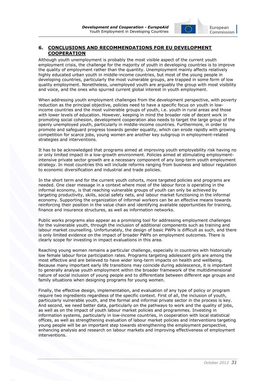

## <span id="page-32-0"></span>**6. CONCLUSIONS AND RECOMMENDATIONS FOR EU DEVELOPMENT COOPERATION**

Although youth unemployment is probably the most visible aspect of the current youth employment crisis, the challenge for the majority of youth in developing countries is to improve the quality of employment rather than the quantity. Unemployment mainly affects relatively highly educated urban youth in middle-income countries, but most of the young people in developing countries, particularly the most vulnerable groups, are trapped in some form of low quality employment. Nonetheless, unemployed youth are arguably the group with most visibility and voice, and the ones who spurred current global interest in youth employment.

When addressing youth employment challenges from the development perspective, with poverty reduction as the principal objective, policies need to have a specific focus on youth in lowincome countries and the most vulnerable groups of youth, i.e. youth in rural areas and those with lower levels of education. However, keeping in mind the broader role of decent work in promoting social cohesion, development cooperation also needs to target the large group of the openly unemployed youth, particularly in middle-income countries. Furthermore, in order to promote and safeguard progress towards gender equality, which can erode rapidly with growing competition for scarce jobs, young women are another key subgroup in employment-related strategies and interventions.

It has to be acknowledged that programs aimed at improving youth employability risk having no or only limited impact in a low-growth environment. Policies aimed at stimulating employmentintensive private sector growth are a necessary component of any long-term youth employment strategy. In most countries this will include reforms ranging from business and labour regulation to economic diversification and industrial and trade policies.

In the short term and for the current youth cohorts, more targeted policies and programs are needed. One clear message in a context where most of the labour force is operating in the informal economy, is that reaching vulnerable groups of youth can only be achieved by targeting productivity, skills, social safety nets, and labour market functioning in the informal economy. Supporting the organization of informal workers can be an effective means towards reinforcing their position in the value chain and identifying available opportunities for training, finance and insurance structures, as well as information networks.

Public works programs also appear as a promising tool for addressing employment challenges for the vulnerable youth, through the inclusion of additional components such as training and labour market counselling. Unfortunately, the design of basic PWPs is difficult as such, and there is only limited evidence on the impact of broader PWPs on employment outcomes. There is clearly scope for investing in impact evaluations in this area.

Reaching young women remains a particular challenge, especially in countries with historically low female labour force participation rates. Programs targeting adolescent girls are among the most effective and are believed to have wider long-term impacts on health and wellbeing. Because many important early life transitions may coincide during adolescence, it is important to generally analyse youth employment within the broader framework of the multidimensional nature of social inclusion of young people and to differentiate between different age groups and family situations when designing programs for young women.

Finally, the effective design, implementation, and evaluation of any type of policy or program require two ingredients regardless of the specific context. First of all, the inclusion of youth, particularly vulnerable youth, and the formal and informal private sector in the process is key. And second, we need better data, particularly on the pathways to work and the quality of jobs, as well as on the impact of youth labour market policies and programmes. Investing in information systems, particularly in low-income countries, in cooperation with local statistical offices, as well as strengthening evaluation of labour market policies and interventions targeting young people will be an important step towards strengthening the employment perspective, enhancing analysis and research on labour markets and improving effectiveness of employment interventions.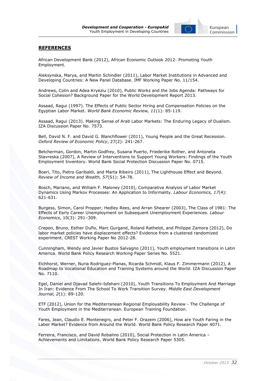

## <span id="page-33-0"></span>**REFERENCES**

African Development Bank (2012), African Economic Outlook 2012: Promoting Youth Employment.

Aleksynska, Marya, and Martin Schindler (2011), Labor Market Institutions in Advanced and Developing Countries: A New Panel Database. IMF Working Paper No. 11/154.

Andrews, Colin and Adea Kryeziu (2010), Public Works and the Jobs Agenda: Pathways for Social Cohesion? Background Paper for the World Development Report 2013.

Assaad, Ragui (1997). The Effects of Public Sector Hiring and Compensation Policies on the Egyptian Labor Market. *World Bank Economic Review, 11*(1): 85-119.

Assaad, Ragui (2013). Making Sense of Arab Labor Markets: The Enduring Legacy of Dualism. IZA Discussion Paper No. 7573.

Bell, David N. F. and David G. Blanchflower (2011), Young People and the Great Recession. *Oxford Review of Economic Policy*, 27(2): 241-267.

Betcherman, Gordon, Martin Godfrey, Susana Puerto, Friederike Rother, and Antoneta Stavreska (2007), A Review of Interventions to Support Young Workers: Findings of the Youth Employment Inventory. World Bank Social Protection Discussion Paper No. 0715.

Boeri, Tito, Pietro Garibaldi, and Marta Ribeiro (2011), The Lighthouse Effect and Beyond. *Review of Income and Wealth, 57*(S1): 54-78.

Bosch, Mariano, and William F. Maloney (2010), Comparative Analysis of Labor Market Dynamics Using Markov Processes: An Application to Informality*. Labour Economics, 17*(4): 621-631.

Burgess, Simon, Carol Propper, Hedley Rees, and Arran Shearer (2003), The Class of 1981: The Effects of Early Career Unemployment on Subsequent Unemployment Experiences. *Labour Economics*, 10(3): 291–309.

Crepon, Bruno, Esther Duflo, Marc Gurgand, Roland Rathelot, and Philippe Zamora (2012), Do labor market policies have displacement effects? Evidence from a clustered randomized experiment. CREST Working Paper No 2012-28.

Cunningham, Wendy and Javier Bustos Salvagno (2011), Youth employment transitions in Latin America. World Bank Policy Research Working Paper Series No. 5521.

Eichhorst, Werner, Nuria Rodriguez-Planas, Ricarda Schmidl, Klaus F. Zimmermann (2012), A Roadmap to Vocational Education and Training Systems around the World. IZA Discussion Paper No. 7110.

Egel, Daniel and Djavad Salehi-Isfahani (2010), Youth Transitions To Employment And Marriage In Iran: Evidence From The School To Work Transition Survey. *Middle East Development Journal, 2*(1): 89-120.

ETF (2012), Union for the Mediterranean Regional Employability Review - The Challenge of Youth Employment in the Mediterranean. European Training Foundation.

Fares, Jean, Claudio E. Montenegro, and Peter F. Orazem (2006), How are Youth Faring in the Labor Market? Evidence from Around the World. World Bank Policy Research Paper 4071.

Ferreira, Francisco, and David Robalino (2010), Social Protection in Latin America – Achievements and Limitations. World Bank Policy Research Paper 5305.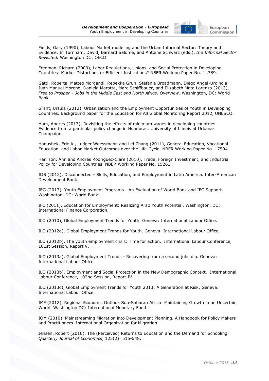

Fields, Gary (1990), Labour Market modeling and the Urban Informal Sector: Theory and Evidence. In Turnham, David, Barnard Salome, and Antoine Schwarz (eds.), *the Informal Sector Revisited.* Washington DC: OECD.

Freeman, Richard (2009), Labor Regulations, Unions, and Social Protection in Developing Countries: Market Distortions or Efficient Institutions? NBER Working Paper No. 14789.

Gatti, Roberta, Matteo Morgandi, Rebekka Grun, Stefanie Broadmann, Diego Angel-Urdinola, Juan Manuel Moreno, Daniela Marotta, Marc Schiffbauer, and Elizabeth Mata Lorenzo (2013), *Free to Prosper – Jobs in the Middle East and North Africa. Overview.* Washington, DC: World Bank.

Grant, Ursula (2012), Urbanization and the Employment Opportunities of Youth in Developing Countries. Background paper for the Education for All Global Monitoring Report 2012, UNESCO.

Ham, Andres (2013), Revisiting the effects of minimum wages in developing countries – Evidence from a particular policy change in Honduras. University of Illinois at Urbana-Champaign.

Hanushek, Eric A., Ludger Woessmann and Lei Zhang (2011), General Education, Vocational Education, and Labor-Market Outcomes over the Life-Cycle. NBER Working Paper No. 17504.

Harrison, Ann and Andrés Rodríguez-Clare (2010), Trade, Foreign Investment, and Industrial Policy for Developing Countries. NBER Working Paper No. 15261.

IDB (2012), Disconnected - Skills, Education, and Employment in Latin America. Inter-American Development Bank.

IEG (2013), Youth Employment Programs - An Evaluation of World Bank and IFC Support. Washington, DC: World Bank.

IFC (2011), Education for Employment: Realizing Arab Youth Potential. Washington, DC: International Finance Corporation.

ILO (2010), Global Employment Trends for Youth. Geneva: International Labour Office.

ILO (2012a), Global Employment Trends for Youth. Geneva: International Labour Office.

ILO (2012b), The youth employment crisis: Time for action. International Labour Conference, 101st Session, Report V.

ILO (2013a), Global Employment Trends - Recovering from a second jobs dip*.* Geneva: International Labour Office.

ILO (2013b), Employment and Social Protection in the New Demographic Context. International Labour Conference, 102nd Session, Report IV.

ILO (2013c), Global Employment Trends for Youth 2013: A Generation at Risk. Geneva: International Labour Office.

IMF (2012), Regional Economic Outlook Sub-Saharan Africa: Maintaining Growth in an Uncertain World. Washington DC: International Monetary Fund.

IOM (2010), Mainstreaming Migration into Development Planning. A Handbook for Policy Makers and Practitioners. International Organization for Migration.

Jensen, Robert (2010), The (Perceived) Returns to Education and the Demand for Schooling. *Quarterly Journal of Economics*, 125(2): 515-548.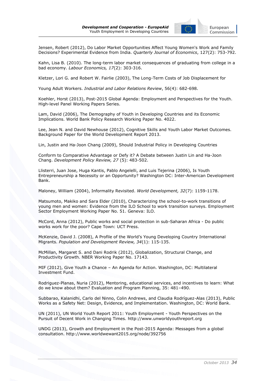

Jensen, Robert (2012), Do Labor Market Opportunities Affect Young Women's Work and Family Decisions? Experimental Evidence from India. *Quarterly Journal of Economics*, 127(2): 753-792.

Kahn, Lisa B. (2010). The long-term labor market consequences of graduating from college in a bad economy. *Labour Economics, 17*(2): 303-316.

Kletzer, Lori G. and Robert W. Fairlie (2003), The Long-Term Costs of Job Displacement for

Young Adult Workers. *Industrial and Labor Relations Review*, 56(4): 682-698.

Koehler, Horst (2013), Post-2015 Global Agenda: Employment and Perspectives for the Youth. High-level Panel Working Papers Series.

Lam, David (2006), The Demography of Youth in Developing Countries and its Economic Implications. World Bank Policy Research Working Paper No. 4022.

Lee, Jean N. and David Newhouse (2012), Cognitive Skills and Youth Labor Market Outcomes. Background Paper for the World Development Report 2013.

Lin, Justin and Ha-Joon Chang (2009), Should Industrial Policy in Developing Countries

Conform to Comparative Advantage or Defy it? A Debate between Justin Lin and Ha-Joon Chang. *Development Policy Review, 27* (5): 483-502.

Llisterri, Juan Jose, Huga Kantis, Pablo Angelelli, and Luis Tejerina (2006), Is Youth Entrepreneurship a Necessity or an Opportunity? Washington DC: Inter-American Development Bank.

Maloney, William (2004), Informality Revisited. *World Development, 32*(7): 1159-1178.

Matsumoto, Makiko and Sara Elder (2010), Characterizing the school-to-work transitions of young men and women: Evidence from the ILO School to work transition surveys. Employment Sector Employment Working Paper No. 51. Geneva: ILO.

McCord, Anna (2012), Public works and social protection in sub-Saharan Africa - Do public works work for the poor? Cape Town: UCT Press.

McKenzie, David J. (2008), A Profile of the World"s Young Developing Country International Migrants. *Population and Development Review, 34*(1): 115-135.

McMillan, Margaret S. and Dani Rodrik (2012), Globalization, Structural Change, and Productivity Growth. NBER Working Paper No. 17143.

MIF (2012), Give Youth a Chance – An Agenda for Action. Washington, DC: Multilateral Investment Fund.

Rodriguez-Planas, Nuria (2012), Mentoring, educational services, and incentives to learn: What do we know about them? Evaluation and Program Planning, 35: 481–490.

Subbarao, Kalanidhi, Carlo del Ninno, Colin Andrews, and Claudia Rodríguez-Alas (2013), Public Works as a Safety Net: Design, Evidence, and Implementation. Washington, DC: World Bank.

UN (2011), UN World Youth Report 2011: Youth Employment - Youth Perspectives on the Pursuit of Decent Work in Changing Times. [http://www.unworldyouthreport.org](http://www.unworldyouthreport.org/)

UNDG (2013), Growth and Employment in the Post-2015 Agenda: Messages from a global consultation.<http://www.worldwewant2015.org/node/392756>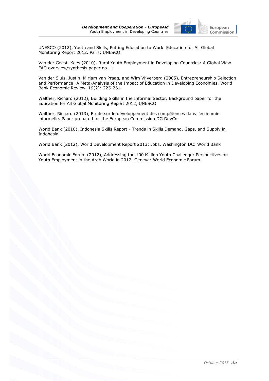

UNESCO (2012), Youth and Skills, Putting Education to Work. Education for All Global Monitoring Report 2012. Paris: UNESCO.

Van der Geest, Kees (2010), Rural Youth Employment in Developing Countries: A Global View. FAO overview/synthesis paper no. 1.

Van der Sluis, Justin, Mirjam van Praag, and Wim Vijverberg (2005), Entrepreneurship Selection and Performance: A Meta-Analysis of the Impact of Education in Developing Economies. World Bank Economic Review, 19(2): 225-261.

Walther, Richard (2012), Building Skills in the Informal Sector. Background paper for the Education for All Global Monitoring Report 2012, UNESCO.

Walther, Richard (2013), Etude sur le développement des compétences dans l"économie informelle. Paper prepared for the European Commission DG DevCo.

World Bank (2010), Indonesia Skills Report - Trends in Skills Demand, Gaps, and Supply in Indonesia.

World Bank (2012), World Development Report 2013: Jobs. Washington DC: World Bank

World Economic Forum (2012), Addressing the 100 Million Youth Challenge: Perspectives on Youth Employment in the Arab World in 2012. Geneva: World Economic Forum.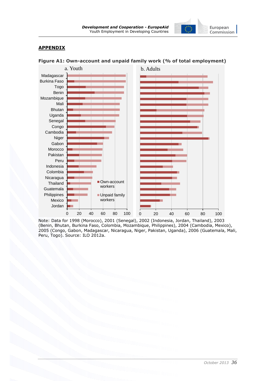

## <span id="page-37-0"></span>**APPENDIX**



#### Note: Data for 1998 (Morocco), 2001 (Senegal), 2002 (Indonesia, Jordan, Thailand), 2003 (Benin, Bhutan, Burkina Faso, Colombia, Mozambique, Philippines), 2004 (Cambodia, Mexico), 2005 (Congo, Gabon, Madagascar, Nicaragua, Niger, Pakistan, Uganda), 2006 (Guatemala, Mali, Peru, Togo). Source: ILO 2012a.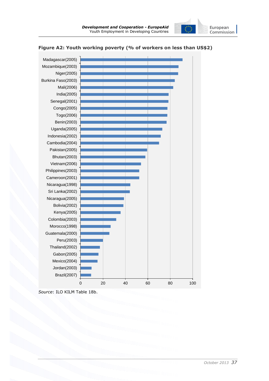



## **Figure A2: Youth working poverty (% of workers on less than US\$2)**

*Source*: ILO KILM Table 18b.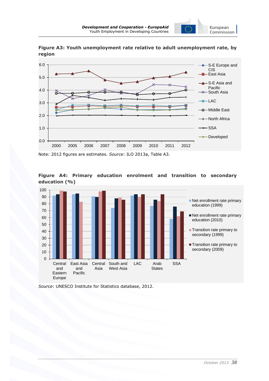

**Figure A3: Youth unemployment rate relative to adult unemployment rate, by region**



0 10 20 30 40 50 60 70 80 90 100 **Central** and Eastern Europe East Asia and Pacific Central South and Asia West Asia LAC Arab States SSA Net enrollment rate primary education (1999) Net enrollment rate primary education (2010) **Transition rate primary to** secondary (1999) **Transition rate primary to** secondary (2009)

**Figure A4: Primary education enrolment and transition to secondary education (%)**

*Source*: UNESCO Institute for Statistics database, 2012.